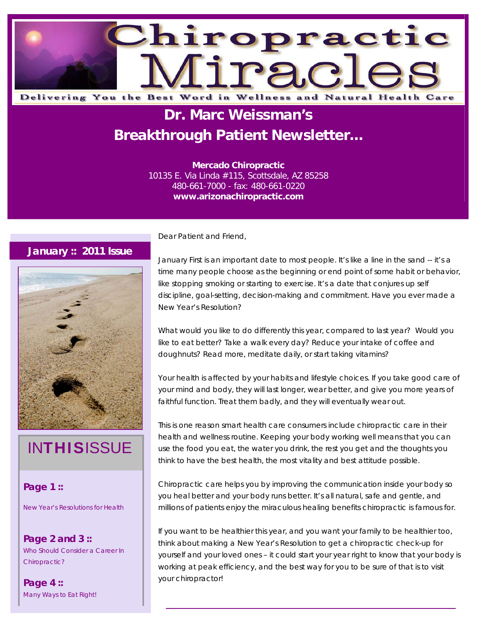

# **Dr. Marc Weissman's Breakthrough Patient Newsletter...**

**Mercado Chiropractic**  10135 E. Via Linda #115, Scottsdale, AZ 85258 480-661-7000 - fax: 480-661-0220 **www.arizonachiropractic.com**

#### **January :: 2011 Issue**



# **INTHISISSUE**

### **Page 1 ::**

New Year's Resolutions for Health

**Page 2 and 3 ::**  Who Should Consider a Career In Chiropractic?

**Page 4 ::**  Many Ways to Eat Right! Dear Patient and Friend,

January First is an important date to most people. It's like a line in the sand -- it's a time many people choose as the beginning or end point of some habit or behavior, like stopping smoking or starting to exercise. It's a date that conjures up self discipline, goal-setting, decision-making and commitment. Have you ever made a New Year's Resolution?

What would you like to do differently this year, compared to last year? Would you like to eat better? Take a walk every day? Reduce your intake of coffee and doughnuts? Read more, meditate daily, or start taking vitamins?

Your health is affected by your habits and lifestyle choices. If you take good care of your mind and body, they will last longer, wear better, and give you more years of faithful function. Treat them badly, and they will eventually wear out.

This is one reason smart health care consumers include chiropractic care in their health and wellness routine. Keeping your body working well means that you can use the food you eat, the water you drink, the rest you get and the thoughts you think to have the best health, the most vitality and best attitude possible.

Chiropractic care helps you by improving the communication inside your body so you heal better and your body runs better. It's all natural, safe and gentle, and millions of patients enjoy the miraculous healing benefits chiropractic is famous for.

If you want to be healthier this year, and you want your family to be healthier too, think about making a New Year's Resolution to get a chiropractic check-up for yourself and your loved ones – it could start your year right to know that your body is working at peak efficiency, and the best way for you to be sure of that is to visit your chiropractor!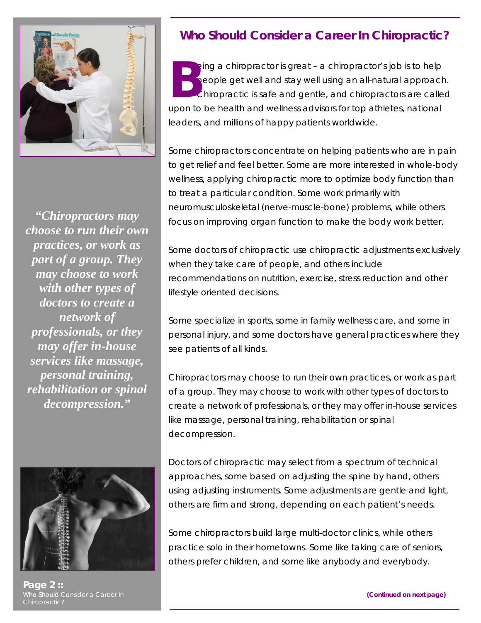

*choose to run their own practices, or work as part of a group. They may choose to work with other types of doctors to create a network of professionals, or they may offer in-house services like massage, personal training, rehabilitation or spinal decompression."* 



**Page 2 ::**  Chiropractic?

## **Who Should Consider a Career In Chiropractic?**

eing a chiropractor is great – a chiropractor's job is to help people get well and stay well using an all-natural approach. Chiropractic is safe and gentle, and chiropractors are called upon to be health and wellness advisors for top athletes, national leaders, and millions of happy patients worldwide. **B**

Some chiropractors concentrate on helping patients who are in pain to get relief and feel better. Some are more interested in whole-body wellness, applying chiropractic more to optimize body function than to treat a particular condition. Some work primarily with neuromusculoskeletal (nerve-muscle-bone) problems, while others focus on improving organ function to make the body work better. *"Chiropractors may* 

> Some doctors of chiropractic use chiropractic adjustments exclusively when they take care of people, and others include recommendations on nutrition, exercise, stress reduction and other lifestyle oriented decisions.

> Some specialize in sports, some in family wellness care, and some in personal injury, and some doctors have general practices where they see patients of all kinds.

> Chiropractors may choose to run their own practices, or work as part of a group. They may choose to work with other types of doctors to create a network of professionals, or they may offer in-house services like massage, personal training, rehabilitation or spinal decompression.

Doctors of chiropractic may select from a spectrum of technical approaches, some based on adjusting the spine by hand, others using adjusting instruments. Some adjustments are gentle and light, others are firm and strong, depending on each patient's needs.

Some chiropractors build large multi-doctor clinics, while others practice solo in their hometowns. Some like taking care of seniors, others prefer children, and some like anybody and everybody.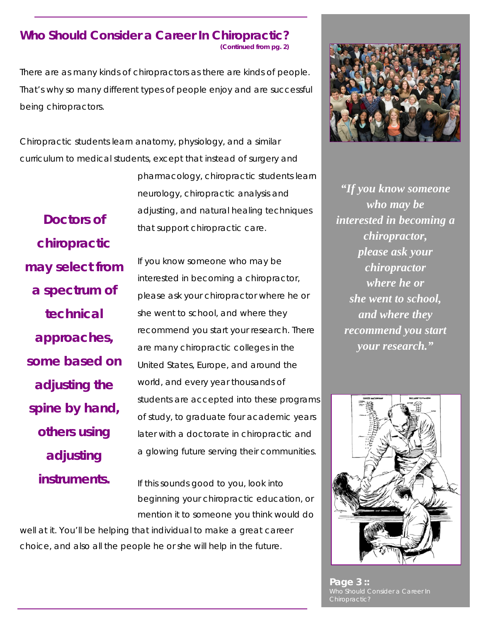## **Who Should Consider a Career In Chiropractic?**

**(Continued from pg. 2)**

There are as many kinds of chiropractors as there are kinds of people. That's why so many different types of people enjoy and are successful being chiropractors.

Chiropractic students learn anatomy, physiology, and a similar curriculum to medical students, except that instead of surgery and

> pharmacology, chiropractic students learn neurology, chiropractic analysis and adjusting, and natural healing techniques that support chiropractic care.

*chiropractic may select from a spectrum of technical approaches, some based on adjusting the spine by hand, others using adjusting instruments.*

*Doctors of* 

If you know someone who may be interested in becoming a chiropractor, please ask your chiropractor where he or she went to school, and where they recommend you start your research. There are many chiropractic colleges in the United States, Europe, and around the world, and every year thousands of students are accepted into these programs of study, to graduate four academic years later with a doctorate in chiropractic and a glowing future serving their communities.

If this sounds good to you, look into beginning your chiropractic education, or mention it to someone you think would do

well at it. You'll be helping that individual to make a great career choice, and also all the people he or she will help in the future.



*"If you know someone who may be interested in becoming a chiropractor, please ask your chiropractor where he or she went to school, and where they recommend you start your research."* 



**Page 3 ::**  Who Should Consider a Career In Chiropractic?